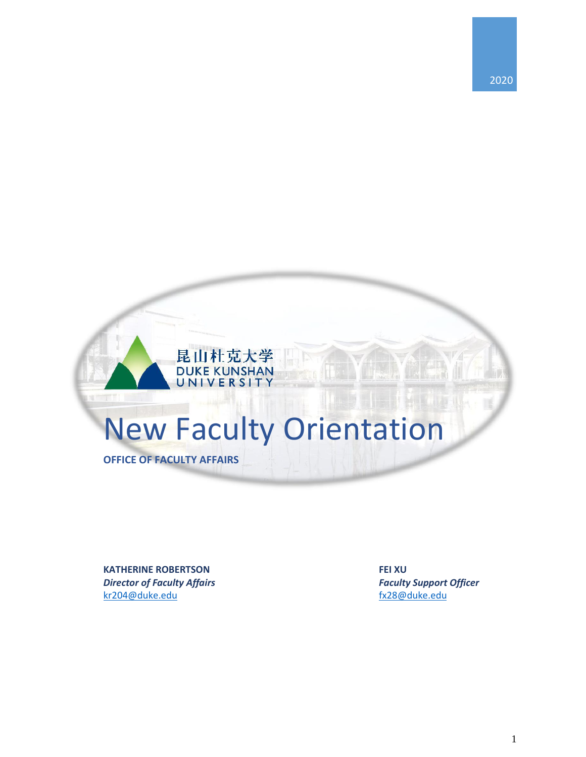

**KATHERINE ROBERTSON FEI XU** *Director of Faculty Affairs Faculty Support Officer*  [kr204@duke.edu](mailto:kr204@duke.edu)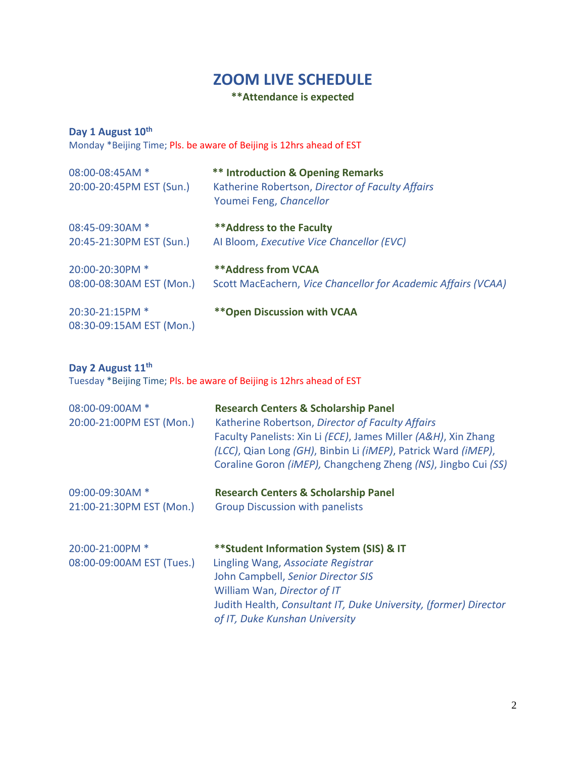## **ZOOM LIVE SCHEDULE**

## **\*\*Attendance is expected**

### **Day 1 August 10th**

Monday \*Beijing Time; Pls. be aware of Beijing is 12hrs ahead of EST

| 08:00-08:45AM *          | <b>** Introduction &amp; Opening Remarks</b>                  |
|--------------------------|---------------------------------------------------------------|
| 20:00-20:45PM EST (Sun.) | Katherine Robertson, Director of Faculty Affairs              |
|                          | Youmei Feng, Chancellor                                       |
| 08:45-09:30AM *          | ** Address to the Faculty                                     |
| 20:45-21:30PM EST (Sun.) | Al Bloom, Executive Vice Chancellor (EVC)                     |
| 20:00-20:30PM *          | <b>**Address from VCAA</b>                                    |
| 08:00-08:30AM EST (Mon.) | Scott MacEachern, Vice Chancellor for Academic Affairs (VCAA) |
| 20:30-21:15PM *          | <b>** Open Discussion with VCAA</b>                           |
| 08:30-09:15AM EST (Mon.) |                                                               |

#### **Day 2 August 11 th**

Tuesday \*Beijing Time; Pls. be aware of Beijing is 12hrs ahead of EST

| 08:00-09:00AM *<br>20:00-21:00PM EST (Mon.)  | <b>Research Centers &amp; Scholarship Panel</b><br>Katherine Robertson, Director of Faculty Affairs<br>Faculty Panelists: Xin Li (ECE), James Miller (A&H), Xin Zhang<br>(LCC), Qian Long (GH), Binbin Li (iMEP), Patrick Ward (iMEP),<br>Coraline Goron (iMEP), Changcheng Zheng (NS), Jingbo Cui (SS) |
|----------------------------------------------|---------------------------------------------------------------------------------------------------------------------------------------------------------------------------------------------------------------------------------------------------------------------------------------------------------|
| 09:00-09:30AM *<br>21:00-21:30PM EST (Mon.)  | <b>Research Centers &amp; Scholarship Panel</b><br><b>Group Discussion with panelists</b>                                                                                                                                                                                                               |
| 20:00-21:00PM *<br>08:00-09:00AM EST (Tues.) | ** Student Information System (SIS) & IT<br>Lingling Wang, Associate Registrar<br>John Campbell, Senior Director SIS<br>William Wan, Director of IT<br>Judith Health, Consultant IT, Duke University, (former) Director<br>of IT, Duke Kunshan University                                               |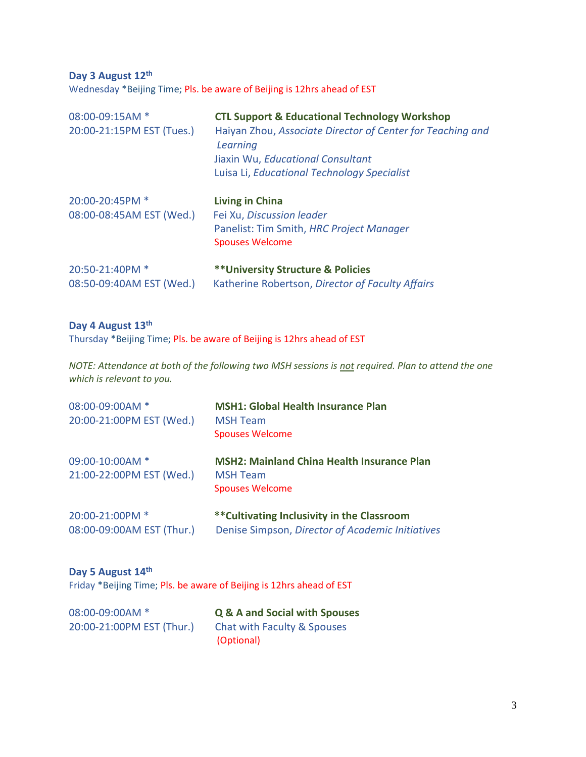**Day 3 August 12 th** Wednesday \*Beijing Time; Pls. be aware of Beijing is 12hrs ahead of EST

| 08:00-09:15AM *<br>20:00-21:15PM EST (Tues.) | <b>CTL Support &amp; Educational Technology Workshop</b><br>Haiyan Zhou, Associate Director of Center for Teaching and<br>Learning<br>Jiaxin Wu, Educational Consultant<br>Luisa Li, Educational Technology Specialist |
|----------------------------------------------|------------------------------------------------------------------------------------------------------------------------------------------------------------------------------------------------------------------------|
| 20:00-20:45PM *<br>08:00-08:45AM EST (Wed.)  | <b>Living in China</b><br>Fei Xu, Discussion leader<br>Panelist: Tim Smith, HRC Project Manager<br><b>Spouses Welcome</b>                                                                                              |
| 20:50-21:40PM *<br>08:50-09:40AM EST (Wed.)  | <b>** University Structure &amp; Policies</b><br>Katherine Robertson, Director of Faculty Affairs                                                                                                                      |

#### **Day 4 August 13 th**

Thursday \*Beijing Time; Pls. be aware of Beijing is 12hrs ahead of EST

*NOTE: Attendance at both of the following two MSH sessions is not required. Plan to attend the one which is relevant to you.*

| 08:00-09:00AM *<br>20:00-21:00PM EST (Wed.)  | <b>MSH1: Global Health Insurance Plan</b><br><b>MSH Team</b><br><b>Spouses Welcome</b>          |
|----------------------------------------------|-------------------------------------------------------------------------------------------------|
| 09:00-10:00AM *<br>21:00-22:00PM EST (Wed.)  | <b>MSH2: Mainland China Health Insurance Plan</b><br><b>MSH Team</b><br><b>Spouses Welcome</b>  |
| 20:00-21:00PM *<br>08:00-09:00AM EST (Thur.) | ** Cultivating Inclusivity in the Classroom<br>Denise Simpson, Director of Academic Initiatives |

**Day 5 August 14 th** Friday \*Beijing Time; Pls. be aware of Beijing is 12hrs ahead of EST

| 08:00-09:00AM *           | <b>Q &amp; A and Social with Spouses</b>  |
|---------------------------|-------------------------------------------|
| 20:00-21:00PM EST (Thur.) | Chat with Faculty & Spouses<br>(Optional) |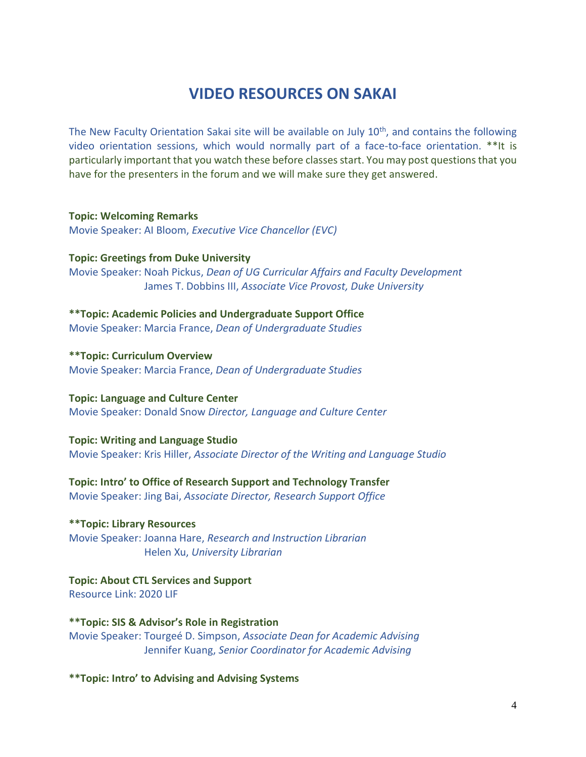# **VIDEO RESOURCES ON SAKAI**

The New Faculty Orientation Sakai site will be available on July 10<sup>th</sup>, and contains the following video orientation sessions, which would normally part of a face-to-face orientation. \*\*It is particularly important that you watch these before classes start. You may post questions that you have for the presenters in the forum and we will make sure they get answered.

**Topic: Welcoming Remarks** Movie Speaker: AI Bloom, *Executive Vice Chancellor (EVC)*

**Topic: Greetings from Duke University** Movie Speaker: Noah Pickus, *Dean of UG Curricular Affairs and Faculty Development* James T. Dobbins III, *Associate Vice Provost, Duke University*

**\*\*Topic: Academic Policies and Undergraduate Support Office** Movie Speaker: Marcia France, *Dean of Undergraduate Studies*

**\*\*Topic: Curriculum Overview** Movie Speaker: Marcia France, *Dean of Undergraduate Studies*

**Topic: Language and Culture Center** Movie Speaker: Donald Snow *Director, Language and Culture Center*

**Topic: Writing and Language Studio** Movie Speaker: Kris Hiller, *Associate Director of the Writing and Language Studio*

**Topic: Intro' to Office of Research Support and Technology Transfer** Movie Speaker: Jing Bai, *Associate Director, Research Support Office*

**\*\*Topic: Library Resources** Movie Speaker: Joanna Hare, *Research and Instruction Librarian* Helen Xu, *University Librarian*

**Topic: About CTL Services and Support** Resource Link: 2020 LIF

**\*\*Topic: SIS & Advisor's Role in Registration** Movie Speaker: Tourgeé D. Simpson, *Associate Dean for Academic Advising* Jennifer Kuang, *Senior Coordinator for Academic Advising*

**\*\*Topic: Intro' to Advising and Advising Systems**